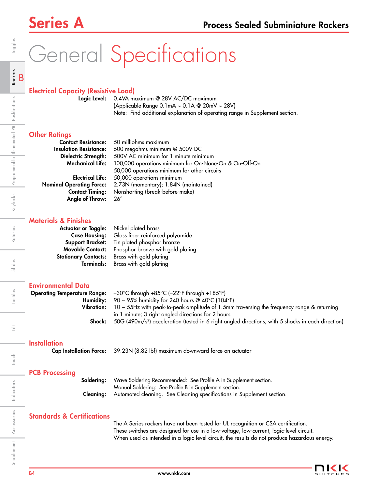# General Specifications

## Electrical Capacity (Resistive Load)

Logic Level: 0.4VA maximum @ 28V AC/DC maximum (Applicable Range 0.1mA ~ 0.1A @ 20mV ~ 28V) Note: Find additional explanation of operating range in Supplement section.

## **Other Ratings**

| <b>Contact Resistance:</b>      | 50 milliohms maximum                                  |
|---------------------------------|-------------------------------------------------------|
| <b>Insulation Resistance:</b>   | 500 megohms minimum @ 500V DC                         |
| Dielectric Strength:            | 500V AC minimum for 1 minute minimum                  |
| <b>Mechanical Life:</b>         | 100,000 operations minimum for On-None-On & On-Off-On |
|                                 | 50,000 operations minimum for other circuits          |
| <b>Electrical Life:</b>         | 50,000 operations minimum                             |
| <b>Nominal Operating Force:</b> | 2.73N (momentary); 1.84N (maintained)                 |
| <b>Contact Timing:</b>          | Nonshorting (break-before-make)                       |
| Angle of Throw:                 | 26°                                                   |

## Materials & Finishes

| <b>Actuator or Toggle:</b>  | Nickel plated brass               |
|-----------------------------|-----------------------------------|
| <b>Case Housing:</b>        | Glass fiber reinforced polyamide  |
| <b>Support Bracket:</b>     | Tin plated phosphor bronze        |
| <b>Movable Contact:</b>     | Phosphor bronze with gold plating |
| <b>Stationary Contacts:</b> | Brass with gold plating           |
| <b>Terminals:</b>           | Brass with gold plating           |

## Environmental Data

|            | <b>Operating Temperature Range:</b> $-30^{\circ}$ C through $+85^{\circ}$ C ( $-22^{\circ}$ F through $+185^{\circ}$ F) |
|------------|-------------------------------------------------------------------------------------------------------------------------|
|            | <b>Humidity:</b> 90 ~ 95% humidity for 240 hours @ 40°C (104°F)                                                         |
| Vibration: | $10 \sim 55$ Hz with peak-to-peak amplitude of 1.5mm traversing the frequency range & returning                         |
|            | in 1 minute; 3 right angled directions for 2 hours                                                                      |
| Shock:     | 50G (490m/s <sup>2</sup> ) acceleration (tested in 6 right angled directions, with 5 shocks in each direction)          |
|            |                                                                                                                         |

### **Installation**

Cap Installation Force: 39.23N (8.82 lbf) maximum downward force on actuator

## PCB Processing

| <b>Soldering:</b> Wave Soldering Recommended: See Profile A in Supplement section.      |
|-----------------------------------------------------------------------------------------|
| Manual Soldering: See Profile B in Supplement section.                                  |
| <b>Cleaning:</b> Automated cleaning. See Cleaning specifications in Supplement section. |

## Standards & Certifications

 The A Series rockers have not been tested for UL recognition or CSA certification. These switches are designed for use in a low-voltage, low-current, logic-level circuit. When used as intended in a logic-level circuit, the results do not produce hazardous energy.



Indicators

Accessories

Supplement Accessories Indicators

Rotaries

Slides

Tactiles

Ë

Touch

Toggles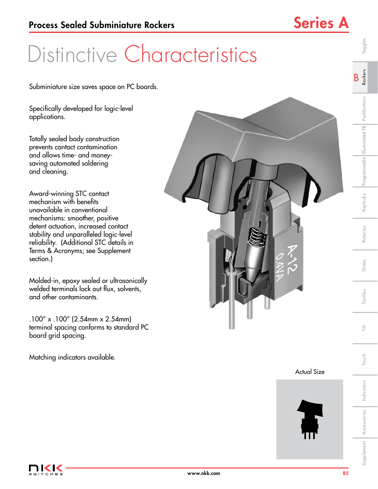## Distinctive Characteristics

Subminiature size saves space on PC boards.

Specifically developed for logic-level applications.

Totally sealed body construction prevents contact contamination and allows time- and moneysaving automated soldering and cleaning.

Award-winning STC contact mechanism with benefits unavailable in conventional mechanisms: smoother, positive detent actuation, increased contact stability and unparalleled logic-level reliability. (Additional STC details in Terms & Acronyms; see Supplement section.)

Molded-in, epoxy sealed or ultrasonically welded terminals lock out flux, solvents, and other contaminants.

.100" x .100" (2.54mm x 2.54mm) terminal spacing conforms to standard PC board grid spacing.

Matching indicators available.



Actual Size



B Rockers

Toggles

Keylocks Programmable Illuminated PB Pushbuttons

Rotaries

Slides

Tactiles

Supplement Accessories Indicators Touch I Touth Indicatives Publics Rotaries Reviocks Programmable Illuminated Pushbuttons R**ockers** Toggles Indicators Indicators Supplement **Accessories** Accessories

Touch Tilt

Touch

言

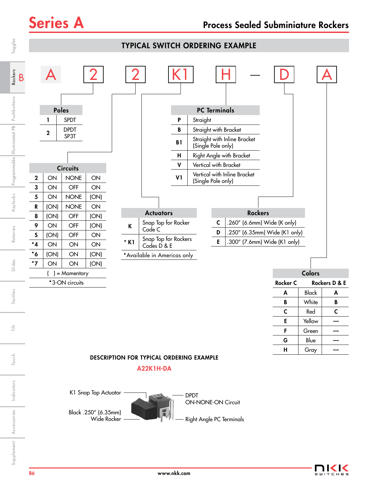

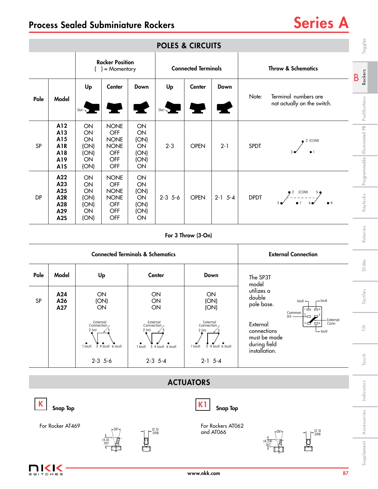| <b>POLES &amp; CIRCUITS</b>                  |                                                                  |                                                 |                                                                       |                                                                            |                                        |                                                 |                                | Toggles                                                         |                                                                 |                                |
|----------------------------------------------|------------------------------------------------------------------|-------------------------------------------------|-----------------------------------------------------------------------|----------------------------------------------------------------------------|----------------------------------------|-------------------------------------------------|--------------------------------|-----------------------------------------------------------------|-----------------------------------------------------------------|--------------------------------|
|                                              |                                                                  |                                                 | <b>Rocker Position</b><br>= Momentary                                 |                                                                            | <b>Connected Terminals</b>             |                                                 |                                |                                                                 | <b>Throw &amp; Schematics</b>                                   | <b>Rockers</b>                 |
| Pole                                         | Model                                                            | Up<br>$Slot -$                                  | Center                                                                | Down                                                                       | Up<br>$Slot -$                         | Center                                          | Down                           | Note:                                                           | Terminal numbers are<br>not actually on the switch.             | B<br>Pushbuttons               |
| SP                                           | A12<br>A13<br>A15<br><b>A1R</b><br>A18<br>A19<br><b>A1S</b>      | ON<br>ON<br>ON<br>(ON)<br>(ON)<br>ON<br>(ON)    | <b>NONE</b><br>OFF<br><b>NONE</b><br><b>NONE</b><br>OFF<br>OFF<br>OFF | ON<br>ON<br>(ON)<br>ON<br>(ON)<br>(ON)<br>ON                               | $2 - 3$                                | <b>OPEN</b>                                     | $2 - 1$                        | <b>SPDT</b>                                                     | 2 (COM)                                                         | Illuminated PB<br>Programmable |
| DP                                           | A22<br>A23<br>A25<br>A <sub>2R</sub><br>A28<br>A29<br><b>A2S</b> | ON<br>ON<br>ON<br>(ON)<br>(ON)<br>ON<br>(ON)    | <b>NONE</b><br>OFF<br><b>NONE</b><br><b>NONE</b><br>OFF<br>OFF<br>OFF | ON<br>ON<br>(ON)<br>ON<br>(ON)<br>(ON)<br>ON                               | $2-3$ 5-6                              | <b>OPEN</b>                                     | $2-1$ 5-4                      | <b>DPDT</b>                                                     | $2^2$ (COM) 5                                                   | Keylocks                       |
|                                              | For 3 Throw (3-On)                                               |                                                 |                                                                       |                                                                            |                                        |                                                 |                                |                                                                 |                                                                 | Rotaries                       |
|                                              |                                                                  |                                                 | <b>Connected Terminals &amp; Schematics</b>                           |                                                                            |                                        |                                                 |                                |                                                                 | <b>External Connection</b>                                      |                                |
| Pole                                         | Model                                                            |                                                 | Up<br>ON<br>(ON)<br>ON                                                |                                                                            | <b>Center</b><br>Down                  |                                                 | The SP3T                       |                                                                 | Slides                                                          |                                |
| <b>SP</b>                                    | A24<br>A26<br>A27                                                |                                                 |                                                                       |                                                                            | ON<br>ON<br>ON                         |                                                 | ON<br>(ON)<br>(ON)             | model<br>utilizes a<br>double<br>pole base.                     | (out) $\rightarrow$<br>$+$ (out)<br>山<br>$\Delta$ 4<br>Common   | Tactiles                       |
|                                              |                                                                  | External<br>Connection <sub>7</sub><br>$2$ (in) |                                                                       | External<br>Connection <sub>7</sub><br>$2$ (in)                            |                                        | External<br>Connection <sub>7</sub><br>$2$ (in) |                                | (in)<br>External<br>connections<br>must be made<br>during field | ń<br><b>External</b><br>$\Box$ 6<br>Conn<br>$\rightarrow$ (out) | $\frac{+}{1-}$                 |
|                                              |                                                                  | $1$ (out)                                       | 3 4 (out) 6 (out)<br>$2-3$ 5-6                                        |                                                                            | 1 (out) 3 4 (out) 6 (out)<br>$2-3$ 5-4 | 1 (out)                                         | 3 4 (out) 6 (out)<br>$2-1$ 5-4 | installation.                                                   |                                                                 | Touch                          |
|                                              |                                                                  |                                                 |                                                                       |                                                                            |                                        | <b>ACTUATORS</b>                                |                                |                                                                 |                                                                 |                                |
|                                              |                                                                  |                                                 |                                                                       |                                                                            |                                        | K <sub>1</sub>                                  |                                |                                                                 |                                                                 | Indicators                     |
| <b>Snap Top</b><br>For Rocker AT469<br>-26°- |                                                                  |                                                 |                                                                       | <b>Snap Top</b><br>For Rockers AT062<br>$\frac{1}{2}$ . (2.5)<br>and AT066 |                                        |                                                 | $^{[2.5]}_{.098}$<br>-26°-     |                                                                 | Accessories                                                     |                                |
| $(5.0)$<br>.197<br>(4.24)                    |                                                                  |                                                 |                                                                       |                                                                            |                                        |                                                 |                                | Supplement                                                      |                                                                 |                                |
|                                              | ⊂⊣∈⊆                                                             |                                                 |                                                                       |                                                                            |                                        | www.nkk.com                                     |                                |                                                                 |                                                                 | <b>B7</b>                      |

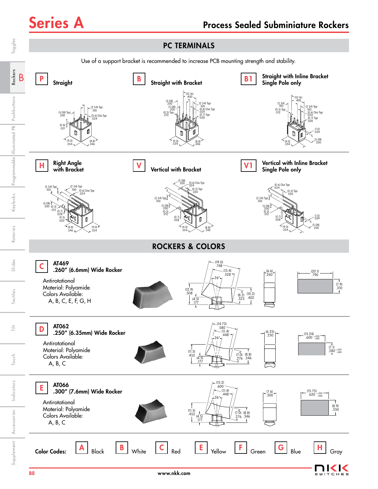$\subset$ 

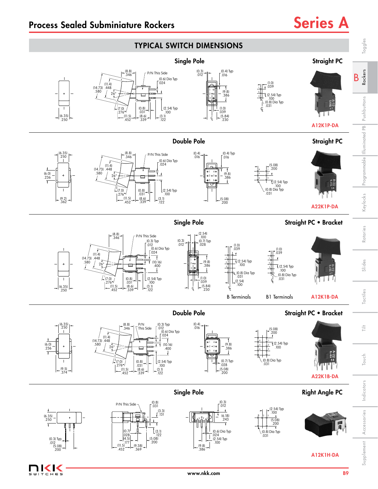—<br>ТСНЕ 5